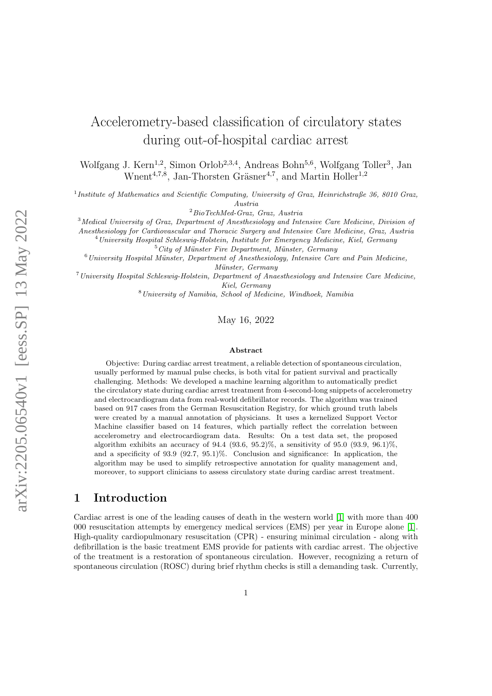# Accelerometry-based classification of circulatory states during out-of-hospital cardiac arrest

Wolfgang J. Kern<sup>1,2</sup>, Simon Orlob<sup>2,3,4</sup>, Andreas Bohn<sup>5,6</sup>, Wolfgang Toller<sup>3</sup>, Jan Wnent<sup>4,7,8</sup>, Jan-Thorsten Gräsner<sup>4,7</sup>, and Martin Holler<sup>1,2</sup>

<sup>1</sup>Institute of Mathematics and Scientific Computing, University of Graz, Heinrichstraße 36, 8010 Graz, Austria

 $2$ BioTechMed-Graz, Graz, Austria

<sup>3</sup>Medical University of Graz, Department of Anesthesiology and Intensive Care Medicine, Division of

Anesthesiology for Cardiovascular and Thoracic Surgery and Intensive Care Medicine, Graz, Austria

<sup>4</sup>University Hospital Schleswig-Holstein, Institute for Emergency Medicine, Kiel, Germany

 $5\,$ City of Münster Fire Department, Münster, Germany

 $6$ University Hospital Münster, Department of Anesthesiology, Intensive Care and Pain Medicine, Münster, Germany

<sup>7</sup>University Hospital Schleswig-Holstein, Department of Anaesthesiology and Intensive Care Medicine, Kiel, Germany

<sup>8</sup>University of Namibia, School of Medicine, Windhoek, Namibia

May 16, 2022

#### Abstract

Objective: During cardiac arrest treatment, a reliable detection of spontaneous circulation, usually performed by manual pulse checks, is both vital for patient survival and practically challenging. Methods: We developed a machine learning algorithm to automatically predict the circulatory state during cardiac arrest treatment from 4-second-long snippets of accelerometry and electrocardiogram data from real-world defibrillator records. The algorithm was trained based on 917 cases from the German Resuscitation Registry, for which ground truth labels were created by a manual annotation of physicians. It uses a kernelized Support Vector Machine classifier based on 14 features, which partially reflect the correlation between accelerometry and electrocardiogram data. Results: On a test data set, the proposed algorithm exhibits an accuracy of 94.4 (93.6, 95.2)%, a sensitivity of 95.0 (93.9, 96.1)%, and a specificity of 93.9 (92.7, 95.1)%. Conclusion and significance: In application, the algorithm may be used to simplify retrospective annotation for quality management and, moreover, to support clinicians to assess circulatory state during cardiac arrest treatment.

### 1 Introduction

Cardiac arrest is one of the leading causes of death in the western world [\[1\]](#page-12-0) with more than 400 000 resuscitation attempts by emergency medical services (EMS) per year in Europe alone [\[1\]](#page-12-0). High-quality cardiopulmonary resuscitation (CPR) - ensuring minimal circulation - along with defibrillation is the basic treatment EMS provide for patients with cardiac arrest. The objective of the treatment is a restoration of spontaneous circulation. However, recognizing a return of spontaneous circulation (ROSC) during brief rhythm checks is still a demanding task. Currently,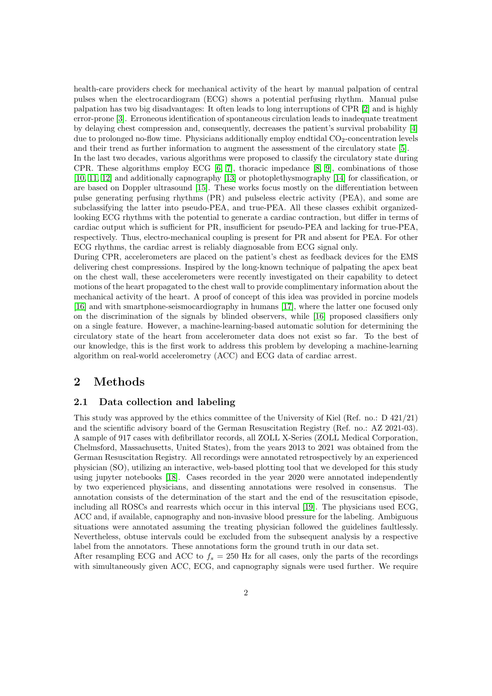health-care providers check for mechanical activity of the heart by manual palpation of central pulses when the electrocardiogram (ECG) shows a potential perfusing rhythm. Manual pulse palpation has two big disadvantages: It often leads to long interruptions of CPR [\[2\]](#page-12-1) and is highly error-prone [\[3\]](#page-12-2). Erroneous identification of spontaneous circulation leads to inadequate treatment by delaying chest compression and, consequently, decreases the patient's survival probability [\[4\]](#page-12-3) due to prolonged no-flow time. Physicians additionally employ endtidal  $CO<sub>2</sub>$ -concentration levels and their trend as further information to augment the assessment of the circulatory state [\[5\]](#page-12-4).

In the last two decades, various algorithms were proposed to classify the circulatory state during CPR. These algorithms employ ECG [\[6,](#page-12-5) [7\]](#page-12-6), thoracic impedance [\[8,](#page-12-7) [9\]](#page-12-8), combinations of those [\[10,](#page-12-9) [11,](#page-13-0) [12\]](#page-13-1) and additionally capnography [\[13\]](#page-13-2) or photoplethysmography [\[14\]](#page-13-3) for classification, or are based on Doppler ultrasound [\[15\]](#page-13-4). These works focus mostly on the differentiation between pulse generating perfusing rhythms (PR) and pulseless electric activity (PEA), and some are subclassifying the latter into pseudo-PEA, and true-PEA. All these classes exhibit organizedlooking ECG rhythms with the potential to generate a cardiac contraction, but differ in terms of cardiac output which is sufficient for PR, insufficient for pseudo-PEA and lacking for true-PEA, respectively. Thus, electro-mechanical coupling is present for PR and absent for PEA. For other ECG rhythms, the cardiac arrest is reliably diagnosable from ECG signal only.

During CPR, accelerometers are placed on the patient's chest as feedback devices for the EMS delivering chest compressions. Inspired by the long-known technique of palpating the apex beat on the chest wall, these accelerometers were recently investigated on their capability to detect motions of the heart propagated to the chest wall to provide complimentary information about the mechanical activity of the heart. A proof of concept of this idea was provided in porcine models [\[16\]](#page-13-5) and with smartphone-seismocardiography in humans [\[17\]](#page-13-6), where the latter one focused only on the discrimination of the signals by blinded observers, while [\[16\]](#page-13-5) proposed classifiers only on a single feature. However, a machine-learning-based automatic solution for determining the circulatory state of the heart from accelerometer data does not exist so far. To the best of our knowledge, this is the first work to address this problem by developing a machine-learning algorithm on real-world accelerometry (ACC) and ECG data of cardiac arrest.

### 2 Methods

#### <span id="page-1-0"></span>2.1 Data collection and labeling

This study was approved by the ethics committee of the University of Kiel (Ref. no.: D 421/21) and the scientific advisory board of the German Resuscitation Registry (Ref. no.: AZ 2021-03). A sample of 917 cases with defibrillator records, all ZOLL X-Series (ZOLL Medical Corporation, Chelmsford, Massachusetts, United States), from the years 2013 to 2021 was obtained from the German Resuscitation Registry. All recordings were annotated retrospectively by an experienced physician (SO), utilizing an interactive, web-based plotting tool that we developed for this study using jupyter notebooks [\[18\]](#page-13-7). Cases recorded in the year 2020 were annotated independently by two experienced physicians, and dissenting annotations were resolved in consensus. The annotation consists of the determination of the start and the end of the resuscitation episode, including all ROSCs and rearrests which occur in this interval [\[19\]](#page-13-8). The physicians used ECG, ACC and, if available, capnography and non-invasive blood pressure for the labeling. Ambiguous situations were annotated assuming the treating physician followed the guidelines faultlessly. Nevertheless, obtuse intervals could be excluded from the subsequent analysis by a respective label from the annotators. These annotations form the ground truth in our data set.

After resampling ECG and ACC to  $f_s = 250$  Hz for all cases, only the parts of the recordings with simultaneously given ACC, ECG, and capnography signals were used further. We require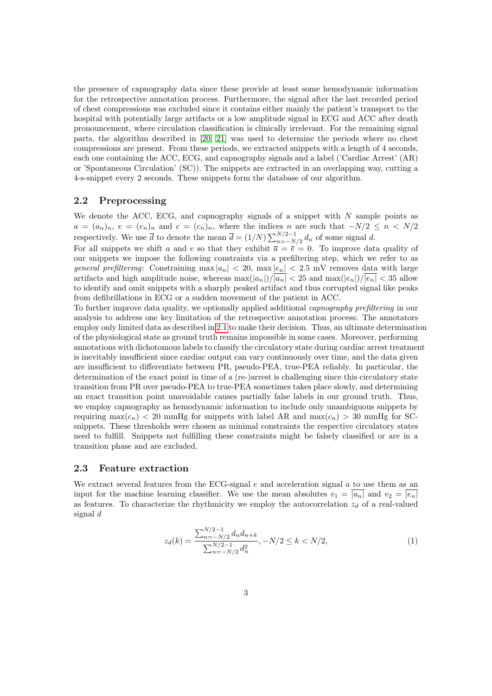the presence of capnography data since these provide at least some hemodynamic information for the retrospective annotation process. Furthermore, the signal after the last recorded period of chest compressions was excluded since it contains either mainly the patient's transport to the hospital with potentially large artifacts or a low amplitude signal in ECG and ACC after death pronouncement, where circulation classification is clinically irrelevant. For the remaining signal parts, the algorithm described in [\[20,](#page-13-9) [21\]](#page-13-10) was used to determine the periods where no chest compressions are present. From these periods, we extracted snippets with a length of 4 seconds, each one containing the ACC, ECG, and capnography signals and a label ('Cardiac Arrest' (AR) or 'Spontaneous Circulation' (SC)). The snippets are extracted in an overlapping way, cutting a 4-s-snippet every 2 seconds. These snippets form the database of our algorithm.

### 2.2 Preprocessing

We denote the ACC, ECG, and capnography signals of a snippet with  $N$  sample points as  $a = (a_n)_n, e = (e_n)_n$  and  $c = (c_n)_n$ , where the indices n are such that  $-N/2 \leq n \leq N/2$ respectively. We use  $\overline{d}$  to denote the mean  $\overline{d} = (1/N) \sum_{n=-N/2}^{N/2-1} d_n$  of some signal d.

For all snippets we shift a and e so that they exhibit  $\overline{a} = \overline{e} = 0$ . To improve data quality of our snippets we impose the following constraints via a prefiltering step, which we refer to as general prefiltering: Constraining  $\max |a_n| < 20$ ,  $\max |e_n| < 2.5$  mV removes data with large artifacts and high amplitude noise, whereas  $\max(|a_n|)/|a_n| < 25$  and  $\max(|e_n|)/|e_n| < 35$  allow to identify and omit snippets with a sharply peaked artifact and thus corrupted signal like peaks from defibrillations in ECG or a sudden movement of the patient in ACC.

To further improve data quality, we optionally applied additional capnography prefiltering in our analysis to address one key limitation of the retrospective annotation process: The annotators employ only limited data as described in [2.1](#page-1-0) to make their decision. Thus, an ultimate determination of the physiological state as ground truth remains impossible in some cases. Moreover, performing annotations with dichotomous labels to classify the circulatory state during cardiac arrest treatment is inevitably insufficient since cardiac output can vary continuously over time, and the data given are insufficient to differentiate between PR, pseudo-PEA, true-PEA reliably. In particular, the determination of the exact point in time of a (re-)arrest is challenging since this circulatory state transition from PR over pseudo-PEA to true-PEA sometimes takes place slowly, and determining an exact transition point unavoidable causes partially false labels in our ground truth. Thus, we employ capnography as hemodynamic information to include only unambiguous snippets by requiring max( $c_n$ ) < 20 mmHg for snippets with label AR and max( $c_n$ ) > 30 mmHg for SCsnippets. These thresholds were chosen as minimal constraints the respective circulatory states need to fulfill. Snippets not fulfilling these constraints might be falsely classified or are in a transition phase and are excluded.

#### 2.3 Feature extraction

We extract several features from the ECG-signal  $e$  and acceleration signal  $a$  to use them as an input for the machine learning classifier. We use the mean absolutes  $v_1 = \overline{|a_n|}$  and  $v_2 = |e_n|$ as features. To characterize the rhythmicity we employ the autocorrelation  $z_d$  of a real-valued signal d

$$
z_d(k) = \frac{\sum_{n=-N/2}^{N/2-1} d_n d_{n+k}}{\sum_{n=-N/2}^{N/2-1} d_n^2}, -N/2 \le k < N/2,\tag{1}
$$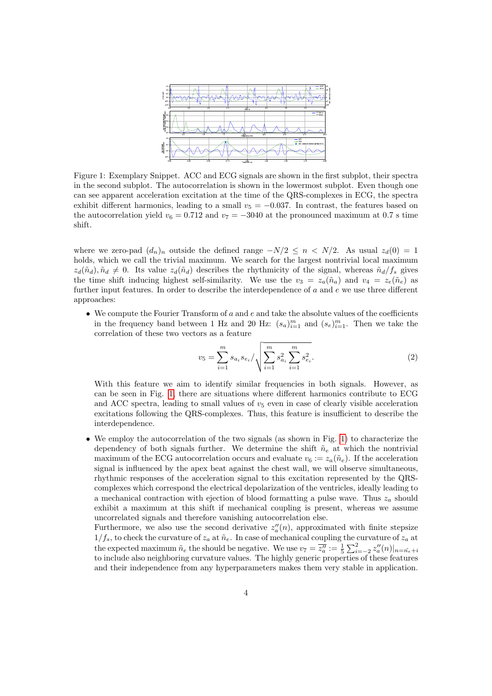<span id="page-3-0"></span>

Figure 1: Exemplary Snippet. ACC and ECG signals are shown in the first subplot, their spectra in the second subplot. The autocorrelation is shown in the lowermost subplot. Even though one can see apparent acceleration excitation at the time of the QRS-complexes in ECG, the spectra exhibit different harmonics, leading to a small  $v_5 = -0.037$ . In contrast, the features based on the autocorrelation yield  $v_6 = 0.712$  and  $v_7 = -3040$  at the pronounced maximum at 0.7 s time shift.

where we zero-pad  $(d_n)_n$  outside the defined range  $-N/2 \leq n \leq N/2$ . As usual  $z_d(0) = 1$ holds, which we call the trivial maximum. We search for the largest nontrivial local maximum  $z_d(\tilde{u}_d), \tilde{u}_d \neq 0$ . Its value  $z_d(\tilde{u}_d)$  describes the rhythmicity of the signal, whereas  $\tilde{u}_d/f_s$  gives the time shift inducing highest self-similarity. We use the  $v_3 = z_a(\tilde{n}_a)$  and  $v_4 = z_e(\tilde{n}_e)$  as further input features. In order to describe the interdependence of a and e we use three different approaches:

• We compute the Fourier Transform of  $a$  and  $e$  and take the absolute values of the coefficients in the frequency band between 1 Hz and 20 Hz:  $(s_a)_{i=1}^m$  and  $(s_e)_{i=1}^m$ . Then we take the correlation of these two vectors as a feature

$$
v_5 = \sum_{i=1}^{m} s_{a_i} s_{e_i} / \sqrt{\sum_{i=1}^{m} s_{a_i}^2 \sum_{i=1}^{m} s_{e_i}^2}.
$$
 (2)

With this feature we aim to identify similar frequencies in both signals. However, as can be seen in Fig. [1,](#page-3-0) there are situations where different harmonics contribute to ECG and ACC spectra, leading to small values of  $v<sub>5</sub>$  even in case of clearly visible acceleration excitations following the QRS-complexes. Thus, this feature is insufficient to describe the interdependence.

• We employ the autocorrelation of the two signals (as shown in Fig. [1\)](#page-3-0) to characterize the dependency of both signals further. We determine the shift  $\tilde{n}_e$  at which the nontrivial maximum of the ECG autocorrelation occurs and evaluate  $v_6 := z_a(\tilde{n}_e)$ . If the acceleration signal is influenced by the apex beat against the chest wall, we will observe simultaneous, rhythmic responses of the acceleration signal to this excitation represented by the QRScomplexes which correspond the electrical depolarization of the ventricles, ideally leading to a mechanical contraction with ejection of blood formatting a pulse wave. Thus  $z_a$  should exhibit a maximum at this shift if mechanical coupling is present, whereas we assume uncorrelated signals and therefore vanishing autocorrelation else.

Furthermore, we also use the second derivative  $z''_a(n)$ , approximated with finite stepsize  $1/f_s$ , to check the curvature of  $z_a$  at  $\tilde{n}_e$ . In case of mechanical coupling the curvature of  $z_a$  at the expected maximum  $\tilde{n}_e$  the should be negative. We use  $v_7 = \overline{z''_a} := \frac{1}{5} \sum_{i=-2}^{2} z''_a(n)|_{n=\tilde{n}_e+i}$ to include also neighboring curvature values. The highly generic properties of these features and their independence from any hyperparameters makes them very stable in application.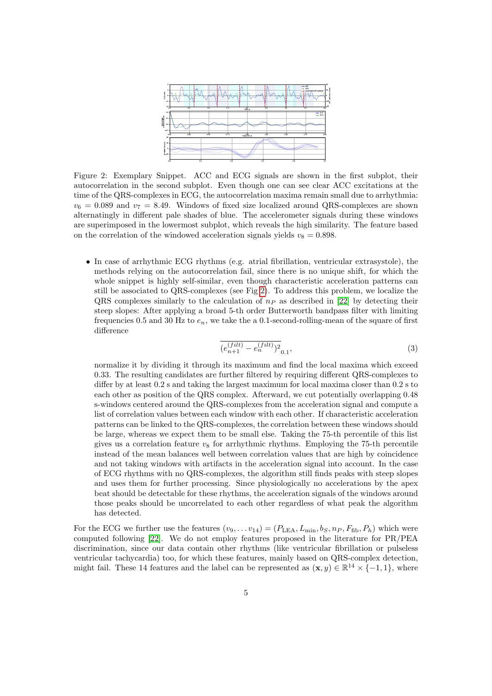<span id="page-4-0"></span>

Figure 2: Exemplary Snippet. ACC and ECG signals are shown in the first subplot, their autocorrelation in the second subplot. Even though one can see clear ACC excitations at the time of the QRS-complexes in ECG, the autocorrelation maxima remain small due to arrhythmia:  $v_6 = 0.089$  and  $v_7 = 8.49$ . Windows of fixed size localized around QRS-complexes are shown alternatingly in different pale shades of blue. The accelerometer signals during these windows are superimposed in the lowermost subplot, which reveals the high similarity. The feature based on the correlation of the windowed acceleration signals yields  $v_8 = 0.898$ .

• In case of arrhythmic ECG rhythms (e.g. atrial fibrillation, ventricular extrasystole), the methods relying on the autocorrelation fail, since there is no unique shift, for which the whole snippet is highly self-similar, even though characteristic acceleration patterns can still be associated to QRS-complexes (see Fig [2\)](#page-4-0). To address this problem, we localize the QRS complexes similarly to the calculation of  $n_P$  as described in [\[22\]](#page-14-0) by detecting their steep slopes: After applying a broad 5-th order Butterworth bandpass filter with limiting frequencies 0.5 and 30 Hz to  $e_n$ , we take the a 0.1-second-rolling-mean of the square of first difference

$$
\overline{(e_{n+1}^{(filt)} - e_n^{(filt)})^2}_{0.1},\tag{3}
$$

normalize it by dividing it through its maximum and find the local maxima which exceed 0.33. The resulting candidates are further filtered by requiring different QRS-complexes to differ by at least  $0.2$  s and taking the largest maximum for local maxima closer than  $0.2$  s to each other as position of the QRS complex. Afterward, we cut potentially overlapping 0.48 s-windows centered around the QRS-complexes from the acceleration signal and compute a list of correlation values between each window with each other. If characteristic acceleration patterns can be linked to the QRS-complexes, the correlation between these windows should be large, whereas we expect them to be small else. Taking the 75-th percentile of this list gives us a correlation feature  $v_8$  for arrhythmic rhythms. Employing the 75-th percentile instead of the mean balances well between correlation values that are high by coincidence and not taking windows with artifacts in the acceleration signal into account. In the case of ECG rhythms with no QRS-complexes, the algorithm still finds peaks with steep slopes and uses them for further processing. Since physiologically no accelerations by the apex beat should be detectable for these rhythms, the acceleration signals of the windows around those peaks should be uncorrelated to each other regardless of what peak the algorithm has detected.

For the ECG we further use the features  $(v_9, \ldots v_{14}) = (P_{\text{LEA}}, L_{\text{min}}, b_S, n_P, F_{\text{fib}}, P_h)$  which were computed following [\[22\]](#page-14-0). We do not employ features proposed in the literature for PR/PEA discrimination, since our data contain other rhythms (like ventricular fibrillation or pulseless ventricular tachycardia) too, for which these features, mainly based on QRS-complex detection, might fail. These 14 features and the label can be represented as  $(\mathbf{x}, y) \in \mathbb{R}^{14} \times \{-1, 1\}$ , where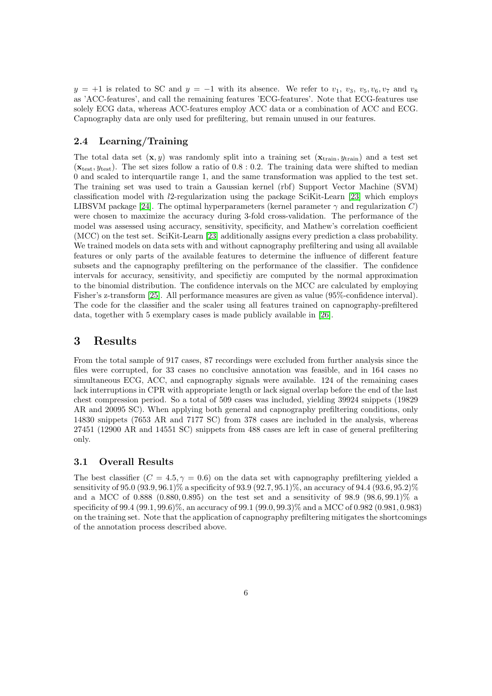$y = +1$  is related to SC and  $y = -1$  with its absence. We refer to  $v_1, v_3, v_5, v_6, v_7$  and  $v_8$ as 'ACC-features', and call the remaining features 'ECG-features'. Note that ECG-features use solely ECG data, whereas ACC-features employ ACC data or a combination of ACC and ECG. Capnography data are only used for prefiltering, but remain unused in our features.

#### 2.4 Learning/Training

The total data set  $(\mathbf{x}, y)$  was randomly split into a training set  $(\mathbf{x}_{\text{train}}, y_{\text{train}})$  and a test set  $(\mathbf{x}_{\text{test}}, y_{\text{test}})$ . The set sizes follow a ratio of 0.8 : 0.2. The training data were shifted to median 0 and scaled to interquartile range 1, and the same transformation was applied to the test set. The training set was used to train a Gaussian kernel (rbf) Support Vector Machine (SVM) classification model with l2-regularization using the package SciKit-Learn [\[23\]](#page-14-1) which employs LIBSVM package [\[24\]](#page-14-2). The optimal hyperparameters (kernel parameter  $\gamma$  and regularization C) were chosen to maximize the accuracy during 3-fold cross-validation. The performance of the model was assessed using accuracy, sensitivity, specificity, and Mathew's correlation coefficient (MCC) on the test set. SciKit-Learn [\[23\]](#page-14-1) additionally assigns every prediction a class probability. We trained models on data sets with and without capnography prefiltering and using all available features or only parts of the available features to determine the influence of different feature subsets and the capnography prefiltering on the performance of the classifier. The confidence intervals for accuracy, sensitivity, and specifictiy are computed by the normal approximation to the binomial distribution. The confidence intervals on the MCC are calculated by employing Fisher's z-transform [\[25\]](#page-14-3). All performance measures are given as value (95%-confidence interval). The code for the classifier and the scaler using all features trained on capnography-prefiltered data, together with 5 exemplary cases is made publicly available in [\[26\]](#page-14-4).

## 3 Results

From the total sample of 917 cases, 87 recordings were excluded from further analysis since the files were corrupted, for 33 cases no conclusive annotation was feasible, and in 164 cases no simultaneous ECG, ACC, and capnography signals were available. 124 of the remaining cases lack interruptions in CPR with appropriate length or lack signal overlap before the end of the last chest compression period. So a total of 509 cases was included, yielding 39924 snippets (19829 AR and 20095 SC). When applying both general and capnography prefiltering conditions, only 14830 snippets (7653 AR and 7177 SC) from 378 cases are included in the analysis, whereas 27451 (12900 AR and 14551 SC) snippets from 488 cases are left in case of general prefiltering only.

#### 3.1 Overall Results

The best classifier  $(C = 4.5, \gamma = 0.6)$  on the data set with capnography prefiltering yielded a sensitivity of 95.0 (93.9, 96.1)% a specificity of 93.9 (92.7, 95.1)%, an accuracy of 94.4 (93.6, 95.2)% and a MCC of 0.888 (0.880, 0.895) on the test set and a sensitivity of 98.9 (98.6, 99.1)% a specificity of 99.4 (99.1, 99.6)%, an accuracy of 99.1 (99.0, 99.3)% and a MCC of 0.982 (0.981, 0.983) on the training set. Note that the application of capnography prefiltering mitigates the shortcomings of the annotation process described above.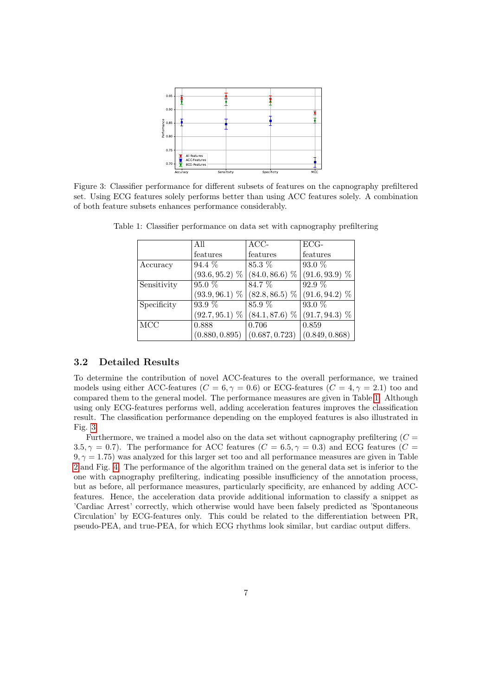<span id="page-6-1"></span>

<span id="page-6-0"></span>Figure 3: Classifier performance for different subsets of features on the capnography prefiltered set. Using ECG features solely performs better than using ACC features solely. A combination of both feature subsets enhances performance considerably.

|             | All            | $\overline{AC}C-$                 | $\overline{ECG}$ - |
|-------------|----------------|-----------------------------------|--------------------|
|             | features       | features                          | features           |
| Accuracy    | $94.4\%$       | 85.3 %                            | $93.0\%$           |
|             |                | $(93.6, 95.2)$ % $(84.0, 86.6)$ % | $(91.6, 93.9)$ %   |
| Sensitivity | 95.0%          | 84.7 %                            | 92.9%              |
|             |                | $(93.9, 96.1)$ % $(82.8, 86.5)$ % | $(91.6, 94.2)$ %   |
| Specificity | 93.9 %         | 85.9%                             | $93.0\%$           |
|             |                | $(92.7, 95.1)$ % $(84.1, 87.6)$ % | $(91.7, 94.3)$ %   |
| MCC         | 0.888          | 0.706                             | 0.859              |
|             | (0.880, 0.895) | (0.687, 0.723)                    | (0.849, 0.868)     |

Table 1: Classifier performance on data set with capnography prefiltering

#### 3.2 Detailed Results

To determine the contribution of novel ACC-features to the overall performance, we trained models using either ACC-features ( $C = 6, \gamma = 0.6$ ) or ECG-features ( $C = 4, \gamma = 2.1$ ) too and compared them to the general model. The performance measures are given in Table [1.](#page-6-0) Although using only ECG-features performs well, adding acceleration features improves the classification result. The classification performance depending on the employed features is also illustrated in Fig. [3.](#page-6-1)

Furthermore, we trained a model also on the data set without capnography prefiltering  $(C =$ 3.5,  $\gamma = 0.7$ ). The performance for ACC features ( $C = 6.5$ ,  $\gamma = 0.3$ ) and ECG features ( $C = 3.5$ )  $9, \gamma = 1.75$ ) was analyzed for this larger set too and all performance measures are given in Table [2](#page-7-0) and Fig. [4.](#page-7-1) The performance of the algorithm trained on the general data set is inferior to the one with capnography prefiltering, indicating possible insufficiency of the annotation process, but as before, all performance measures, particularly specificity, are enhanced by adding ACCfeatures. Hence, the acceleration data provide additional information to classify a snippet as 'Cardiac Arrest' correctly, which otherwise would have been falsely predicted as 'Spontaneous Circulation' by ECG-features only. This could be related to the differentiation between PR, pseudo-PEA, and true-PEA, for which ECG rhythms look similar, but cardiac output differs.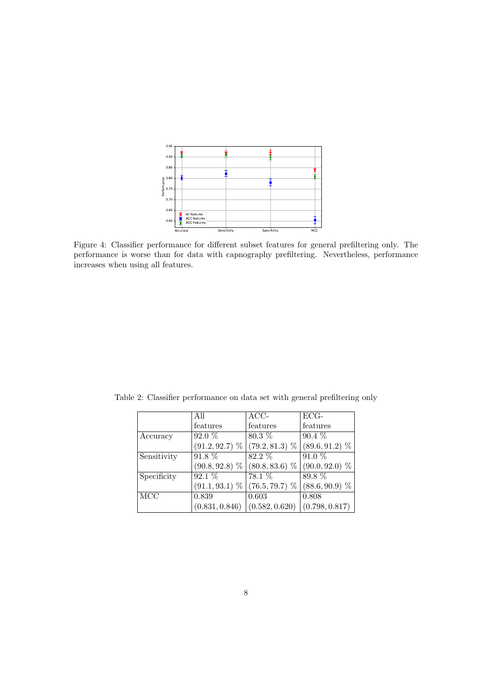<span id="page-7-1"></span>

Figure 4: Classifier performance for different subset features for general prefiltering only. The performance is worse than for data with capnography prefiltering. Nevertheless, performance increases when using all features.

|             | All              | ACC-                              | ECG-             |
|-------------|------------------|-----------------------------------|------------------|
|             | features         | features                          | features         |
| Accuracy    | $92.0\%$         | $80.3\%$                          | $90.4\%$         |
|             |                  | $(91.2, 92.7)$ % $(79.2, 81.3)$ % | $(89.6, 91.2)$ % |
| Sensitivity | 91.8 %           | 82.2 %                            | 91.0 %           |
|             | $(90.8, 92.8)$ % | $(80.8, 83.6)$ %                  | $(90.0, 92.0)$ % |
| Specificity | $92.1\%$         | 78.1 %                            | 89.8 %           |
|             | $(91.1, 93.1)$ % | $(76.5, 79.7)$ %                  | $(88.6, 90.9)$ % |
| MCC         | 0.839            | 0.603                             | 0.808            |
|             | (0.831, 0.846)   | (0.582, 0.620)                    | (0.798, 0.817)   |

<span id="page-7-0"></span>Table 2: Classifier performance on data set with general prefiltering only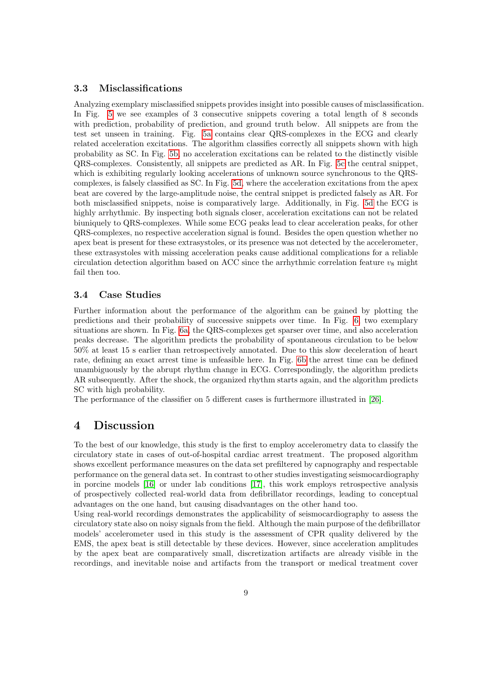### 3.3 Misclassifications

Analyzing exemplary misclassified snippets provides insight into possible causes of misclassification. In Fig. [5](#page-9-0) we see examples of 3 consecutive snippets covering a total length of 8 seconds with prediction, probability of prediction, and ground truth below. All snippets are from the test set unseen in training. Fig. [5a](#page-9-0) contains clear QRS-complexes in the ECG and clearly related acceleration excitations. The algorithm classifies correctly all snippets shown with high probability as SC. In Fig. [5b,](#page-9-0) no acceleration excitations can be related to the distinctly visible QRS-complexes. Consistently, all snippets are predicted as AR. In Fig. [5c](#page-9-0) the central snippet, which is exhibiting regularly looking accelerations of unknown source synchronous to the QRScomplexes, is falsely classified as SC. In Fig. [5d,](#page-9-0) where the acceleration excitations from the apex beat are covered by the large-amplitude noise, the central snippet is predicted falsely as AR. For both misclassified snippets, noise is comparatively large. Additionally, in Fig. [5d](#page-9-0) the ECG is highly arrhythmic. By inspecting both signals closer, acceleration excitations can not be related biuniquely to QRS-complexes. While some ECG peaks lead to clear acceleration peaks, for other QRS-complexes, no respective acceleration signal is found. Besides the open question whether no apex beat is present for these extrasystoles, or its presence was not detected by the accelerometer, these extrasystoles with missing acceleration peaks cause additional complications for a reliable circulation detection algorithm based on ACC since the arrhythmic correlation feature  $v_8$  might fail then too.

### 3.4 Case Studies

Further information about the performance of the algorithm can be gained by plotting the predictions and their probability of successive snippets over time. In Fig. [6,](#page-10-0) two exemplary situations are shown. In Fig. [6a,](#page-10-0) the QRS-complexes get sparser over time, and also acceleration peaks decrease. The algorithm predicts the probability of spontaneous circulation to be below 50% at least 15 s earlier than retrospectively annotated. Due to this slow deceleration of heart rate, defining an exact arrest time is unfeasible here. In Fig. [6b](#page-10-0) the arrest time can be defined unambiguously by the abrupt rhythm change in ECG. Correspondingly, the algorithm predicts AR subsequently. After the shock, the organized rhythm starts again, and the algorithm predicts SC with high probability.

The performance of the classifier on 5 different cases is furthermore illustrated in [\[26\]](#page-14-4).

## 4 Discussion

To the best of our knowledge, this study is the first to employ accelerometry data to classify the circulatory state in cases of out-of-hospital cardiac arrest treatment. The proposed algorithm shows excellent performance measures on the data set prefiltered by capnography and respectable performance on the general data set. In contrast to other studies investigating seismocardiography in porcine models [\[16\]](#page-13-5) or under lab conditions [\[17\]](#page-13-6), this work employs retrospective analysis of prospectively collected real-world data from defibrillator recordings, leading to conceptual advantages on the one hand, but causing disadvantages on the other hand too.

Using real-world recordings demonstrates the applicability of seismocardiography to assess the circulatory state also on noisy signals from the field. Although the main purpose of the defibrillator models' accelerometer used in this study is the assessment of CPR quality delivered by the EMS, the apex beat is still detectable by these devices. However, since acceleration amplitudes by the apex beat are comparatively small, discretization artifacts are already visible in the recordings, and inevitable noise and artifacts from the transport or medical treatment cover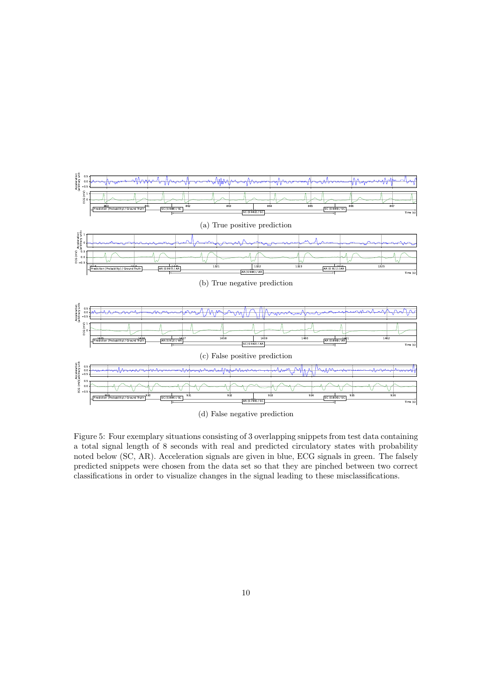<span id="page-9-0"></span>

(d) False negative prediction

Figure 5: Four exemplary situations consisting of 3 overlapping snippets from test data containing a total signal length of 8 seconds with real and predicted circulatory states with probability noted below (SC, AR). Acceleration signals are given in blue, ECG signals in green. The falsely predicted snippets were chosen from the data set so that they are pinched between two correct classifications in order to visualize changes in the signal leading to these misclassifications.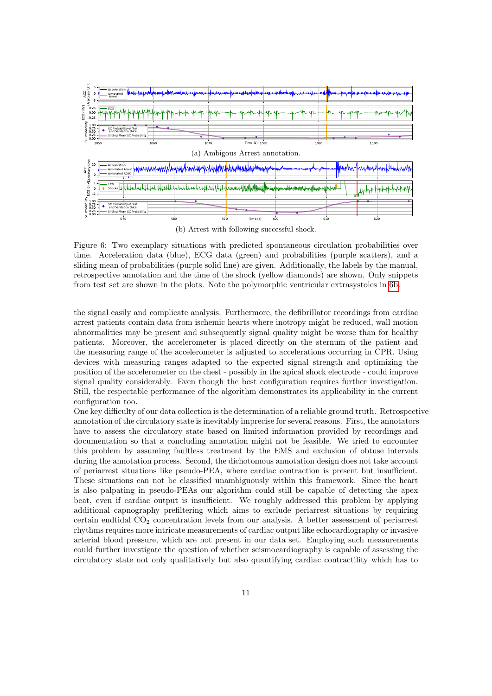<span id="page-10-0"></span>

(b) Arrest with following successful shock.

Figure 6: Two exemplary situations with predicted spontaneous circulation probabilities over time. Acceleration data (blue), ECG data (green) and probabilities (purple scatters), and a sliding mean of probabilities (purple solid line) are given. Additionally, the labels by the manual, retrospective annotation and the time of the shock (yellow diamonds) are shown. Only snippets from test set are shown in the plots. Note the polymorphic ventricular extrasystoles in [6b.](#page-10-0)

the signal easily and complicate analysis. Furthermore, the defibrillator recordings from cardiac arrest patients contain data from ischemic hearts where inotropy might be reduced, wall motion abnormalities may be present and subsequently signal quality might be worse than for healthy patients. Moreover, the accelerometer is placed directly on the sternum of the patient and the measuring range of the accelerometer is adjusted to accelerations occurring in CPR. Using devices with measuring ranges adapted to the expected signal strength and optimizing the position of the accelerometer on the chest - possibly in the apical shock electrode - could improve signal quality considerably. Even though the best configuration requires further investigation. Still, the respectable performance of the algorithm demonstrates its applicability in the current configuration too.

One key difficulty of our data collection is the determination of a reliable ground truth. Retrospective annotation of the circulatory state is inevitably imprecise for several reasons. First, the annotators have to assess the circulatory state based on limited information provided by recordings and documentation so that a concluding annotation might not be feasible. We tried to encounter this problem by assuming faultless treatment by the EMS and exclusion of obtuse intervals during the annotation process. Second, the dichotomous annotation design does not take account of periarrest situations like pseudo-PEA, where cardiac contraction is present but insufficient. These situations can not be classified unambiguously within this framework. Since the heart is also palpating in pseudo-PEAs our algorithm could still be capable of detecting the apex beat, even if cardiac output is insufficient. We roughly addressed this problem by applying additional capnography prefiltering which aims to exclude periarrest situations by requiring certain endtidal  $CO<sub>2</sub>$  concentration levels from our analysis. A better assessment of periarrest rhythms requires more intricate measurements of cardiac output like echocardiography or invasive arterial blood pressure, which are not present in our data set. Employing such measurements could further investigate the question of whether seismocardiography is capable of assessing the circulatory state not only qualitatively but also quantifying cardiac contractility which has to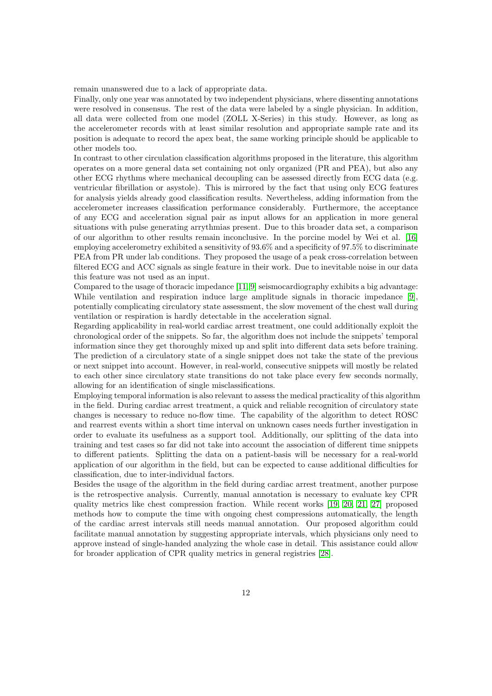remain unanswered due to a lack of appropriate data.

Finally, only one year was annotated by two independent physicians, where dissenting annotations were resolved in consensus. The rest of the data were labeled by a single physician. In addition, all data were collected from one model (ZOLL X-Series) in this study. However, as long as the accelerometer records with at least similar resolution and appropriate sample rate and its position is adequate to record the apex beat, the same working principle should be applicable to other models too.

In contrast to other circulation classification algorithms proposed in the literature, this algorithm operates on a more general data set containing not only organized (PR and PEA), but also any other ECG rhythms where mechanical decoupling can be assessed directly from ECG data (e.g. ventricular fibrillation or asystole). This is mirrored by the fact that using only ECG features for analysis yields already good classification results. Nevertheless, adding information from the accelerometer increases classification performance considerably. Furthermore, the acceptance of any ECG and acceleration signal pair as input allows for an application in more general situations with pulse generating arrythmias present. Due to this broader data set, a comparison of our algorithm to other results remain inconclusive. In the porcine model by Wei et al. [\[16\]](#page-13-5) employing accelerometry exhibited a sensitivity of 93.6% and a specificity of 97.5% to discriminate PEA from PR under lab conditions. They proposed the usage of a peak cross-correlation between filtered ECG and ACC signals as single feature in their work. Due to inevitable noise in our data this feature was not used as an input.

Compared to the usage of thoracic impedance [\[11,](#page-13-0) [9\]](#page-12-8) seismocardiography exhibits a big advantage: While ventilation and respiration induce large amplitude signals in thoracic impedance [\[9\]](#page-12-8), potentially complicating circulatory state assessment, the slow movement of the chest wall during ventilation or respiration is hardly detectable in the acceleration signal.

Regarding applicability in real-world cardiac arrest treatment, one could additionally exploit the chronological order of the snippets. So far, the algorithm does not include the snippets' temporal information since they get thoroughly mixed up and split into different data sets before training. The prediction of a circulatory state of a single snippet does not take the state of the previous or next snippet into account. However, in real-world, consecutive snippets will mostly be related to each other since circulatory state transitions do not take place every few seconds normally, allowing for an identification of single misclassifications.

Employing temporal information is also relevant to assess the medical practicality of this algorithm in the field. During cardiac arrest treatment, a quick and reliable recognition of circulatory state changes is necessary to reduce no-flow time. The capability of the algorithm to detect ROSC and rearrest events within a short time interval on unknown cases needs further investigation in order to evaluate its usefulness as a support tool. Additionally, our splitting of the data into training and test cases so far did not take into account the association of different time snippets to different patients. Splitting the data on a patient-basis will be necessary for a real-world application of our algorithm in the field, but can be expected to cause additional difficulties for classification, due to inter-individual factors.

Besides the usage of the algorithm in the field during cardiac arrest treatment, another purpose is the retrospective analysis. Currently, manual annotation is necessary to evaluate key CPR quality metrics like chest compression fraction. While recent works [\[19,](#page-13-8) [20,](#page-13-9) [21,](#page-13-10) [27\]](#page-14-5) proposed methods how to compute the time with ongoing chest compressions automatically, the length of the cardiac arrest intervals still needs manual annotation. Our proposed algorithm could facilitate manual annotation by suggesting appropriate intervals, which physicians only need to approve instead of single-handed analyzing the whole case in detail. This assistance could allow for broader application of CPR quality metrics in general registries [\[28\]](#page-14-6).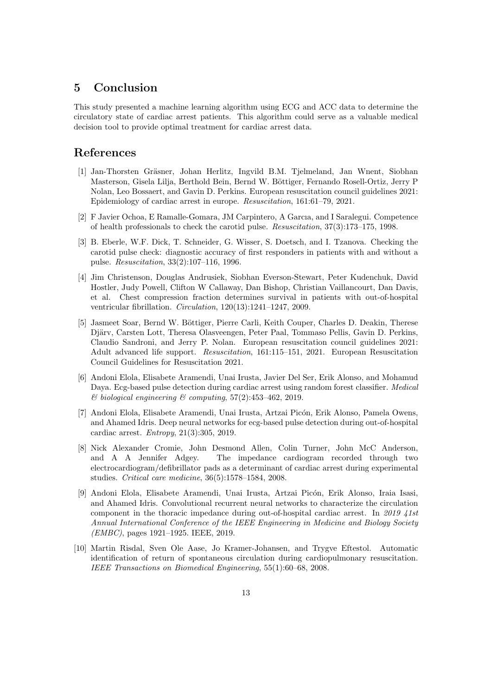### 5 Conclusion

This study presented a machine learning algorithm using ECG and ACC data to determine the circulatory state of cardiac arrest patients. This algorithm could serve as a valuable medical decision tool to provide optimal treatment for cardiac arrest data.

### References

- <span id="page-12-0"></span>[1] Jan-Thorsten Gräsner, Johan Herlitz, Ingvild B.M. Tielmeland, Jan Wnent, Siobhan Masterson, Gisela Lilja, Berthold Bein, Bernd W. Böttiger, Fernando Rosell-Ortiz, Jerry P Nolan, Leo Bossaert, and Gavin D. Perkins. European resuscitation council guidelines 2021: Epidemiology of cardiac arrest in europe. Resuscitation, 161:61–79, 2021.
- <span id="page-12-1"></span>[2] F Javier Ochoa, E Ramalle-Gomara, JM Carpintero, A Garcıa, and I Saralegui. Competence of health professionals to check the carotid pulse. Resuscitation, 37(3):173–175, 1998.
- <span id="page-12-2"></span>[3] B. Eberle, W.F. Dick, T. Schneider, G. Wisser, S. Doetsch, and I. Tzanova. Checking the carotid pulse check: diagnostic accuracy of first responders in patients with and without a pulse. Resuscitation, 33(2):107–116, 1996.
- <span id="page-12-3"></span>[4] Jim Christenson, Douglas Andrusiek, Siobhan Everson-Stewart, Peter Kudenchuk, David Hostler, Judy Powell, Clifton W Callaway, Dan Bishop, Christian Vaillancourt, Dan Davis, et al. Chest compression fraction determines survival in patients with out-of-hospital ventricular fibrillation. Circulation, 120(13):1241–1247, 2009.
- <span id="page-12-4"></span>[5] Jasmeet Soar, Bernd W. Böttiger, Pierre Carli, Keith Couper, Charles D. Deakin, Therese Djärv, Carsten Lott, Theresa Olasveengen, Peter Paal, Tommaso Pellis, Gavin D. Perkins, Claudio Sandroni, and Jerry P. Nolan. European resuscitation council guidelines 2021: Adult advanced life support. Resuscitation, 161:115–151, 2021. European Resuscitation Council Guidelines for Resuscitation 2021.
- <span id="page-12-5"></span>[6] Andoni Elola, Elisabete Aramendi, Unai Irusta, Javier Del Ser, Erik Alonso, and Mohamud Daya. Ecg-based pulse detection during cardiac arrest using random forest classifier. Medical  $\&$  biological engineering  $\&$  computing, 57(2):453-462, 2019.
- <span id="page-12-6"></span>[7] Andoni Elola, Elisabete Aramendi, Unai Irusta, Artzai Picón, Erik Alonso, Pamela Owens, and Ahamed Idris. Deep neural networks for ecg-based pulse detection during out-of-hospital cardiac arrest. Entropy, 21(3):305, 2019.
- <span id="page-12-7"></span>[8] Nick Alexander Cromie, John Desmond Allen, Colin Turner, John McC Anderson, and A A Jennifer Adgey. The impedance cardiogram recorded through two electrocardiogram/defibrillator pads as a determinant of cardiac arrest during experimental studies. Critical care medicine, 36(5):1578–1584, 2008.
- <span id="page-12-8"></span>[9] Andoni Elola, Elisabete Aramendi, Unai Irusta, Artzai Picón, Erik Alonso, Iraia Isasi, and Ahamed Idris. Convolutional recurrent neural networks to characterize the circulation component in the thoracic impedance during out-of-hospital cardiac arrest. In 2019 41st Annual International Conference of the IEEE Engineering in Medicine and Biology Society (EMBC), pages 1921–1925. IEEE, 2019.
- <span id="page-12-9"></span>[10] Martin Risdal, Sven Ole Aase, Jo Kramer-Johansen, and Trygve Eftestol. Automatic identification of return of spontaneous circulation during cardiopulmonary resuscitation. IEEE Transactions on Biomedical Engineering, 55(1):60–68, 2008.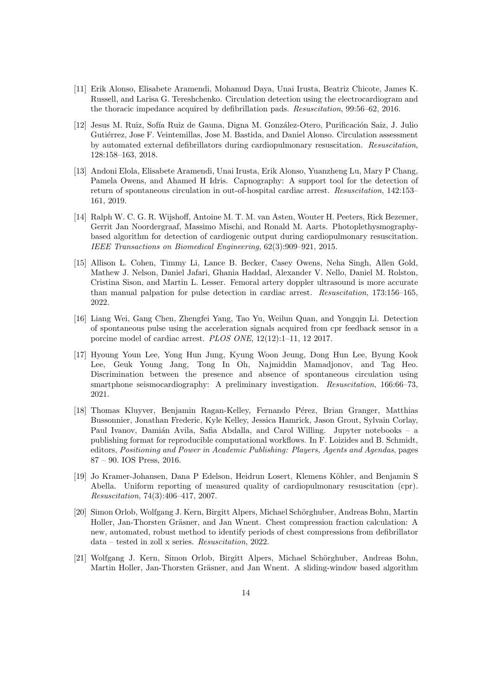- <span id="page-13-0"></span>[11] Erik Alonso, Elisabete Aramendi, Mohamud Daya, Unai Irusta, Beatriz Chicote, James K. Russell, and Larisa G. Tereshchenko. Circulation detection using the electrocardiogram and the thoracic impedance acquired by defibrillation pads. Resuscitation, 99:56–62, 2016.
- <span id="page-13-1"></span>[12] Jesus M. Ruiz, Sofía Ruiz de Gauna, Digna M. González-Otero, Purificación Saiz, J. Julio Gutiérrez, Jose F. Veintemillas, Jose M. Bastida, and Daniel Alonso. Circulation assessment by automated external defibrillators during cardiopulmonary resuscitation. Resuscitation, 128:158–163, 2018.
- <span id="page-13-2"></span>[13] Andoni Elola, Elisabete Aramendi, Unai Irusta, Erik Alonso, Yuanzheng Lu, Mary P Chang, Pamela Owens, and Ahamed H Idris. Capnography: A support tool for the detection of return of spontaneous circulation in out-of-hospital cardiac arrest. Resuscitation, 142:153– 161, 2019.
- <span id="page-13-3"></span>[14] Ralph W. C. G. R. Wijshoff, Antoine M. T. M. van Asten, Wouter H. Peeters, Rick Bezemer, Gerrit Jan Noordergraaf, Massimo Mischi, and Ronald M. Aarts. Photoplethysmographybased algorithm for detection of cardiogenic output during cardiopulmonary resuscitation. IEEE Transactions on Biomedical Engineering, 62(3):909–921, 2015.
- <span id="page-13-4"></span>[15] Allison L. Cohen, Timmy Li, Lance B. Becker, Casey Owens, Neha Singh, Allen Gold, Mathew J. Nelson, Daniel Jafari, Ghania Haddad, Alexander V. Nello, Daniel M. Rolston, Cristina Sison, and Martin L. Lesser. Femoral artery doppler ultrasound is more accurate than manual palpation for pulse detection in cardiac arrest. Resuscitation, 173:156–165, 2022.
- <span id="page-13-5"></span>[16] Liang Wei, Gang Chen, Zhengfei Yang, Tao Yu, Weilun Quan, and Yongqin Li. Detection of spontaneous pulse using the acceleration signals acquired from cpr feedback sensor in a porcine model of cardiac arrest. PLOS ONE, 12(12):1–11, 12 2017.
- <span id="page-13-6"></span>[17] Hyoung Youn Lee, Yong Hun Jung, Kyung Woon Jeung, Dong Hun Lee, Byung Kook Lee, Geuk Young Jang, Tong In Oh, Najmiddin Mamadjonov, and Tag Heo. Discrimination between the presence and absence of spontaneous circulation using smartphone seismocardiography: A preliminary investigation. Resuscitation, 166:66-73, 2021.
- <span id="page-13-7"></span>[18] Thomas Kluyver, Benjamin Ragan-Kelley, Fernando Pérez, Brian Granger, Matthias Bussonnier, Jonathan Frederic, Kyle Kelley, Jessica Hamrick, Jason Grout, Sylvain Corlay, Paul Ivanov, Damián Avila, Safia Abdalla, and Carol Willing. Jupyter notebooks – a publishing format for reproducible computational workflows. In F. Loizides and B. Schmidt, editors, Positioning and Power in Academic Publishing: Players, Agents and Agendas, pages 87 – 90. IOS Press, 2016.
- <span id="page-13-8"></span>[19] Jo Kramer-Johansen, Dana P Edelson, Heidrun Losert, Klemens Köhler, and Benjamin S Abella. Uniform reporting of measured quality of cardiopulmonary resuscitation (cpr). Resuscitation, 74(3):406–417, 2007.
- <span id="page-13-9"></span>[20] Simon Orlob, Wolfgang J. Kern, Birgitt Alpers, Michael Schörghuber, Andreas Bohn, Martin Holler, Jan-Thorsten Gräsner, and Jan Wnent. Chest compression fraction calculation: A new, automated, robust method to identify periods of chest compressions from defibrillator data – tested in zoll x series. Resuscitation, 2022.
- <span id="page-13-10"></span>[21] Wolfgang J. Kern, Simon Orlob, Birgitt Alpers, Michael Schörghuber, Andreas Bohn, Martin Holler, Jan-Thorsten Gräsner, and Jan Wnent. A sliding-window based algorithm